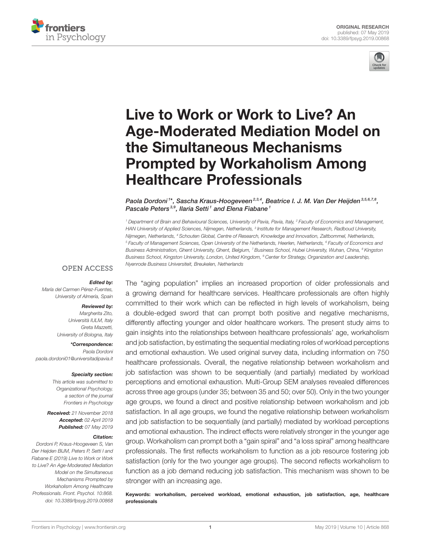



# Live to Work or Work to Live? An [Age-Moderated Mediation Model on](https://www.frontiersin.org/articles/10.3389/fpsyg.2019.00868/full) the Simultaneous Mechanisms Prompted by Workaholism Among Healthcare Professionals

[Paola Dordoni](http://loop.frontiersin.org/people/453204/overview)1\*, [Sascha Kraus-Hoogeveen](http://loop.frontiersin.org/people/480334/overview)<sup>2,3,4</sup>, [Beatrice I. J. M. Van Der Heijden](http://loop.frontiersin.org/people/430165/overview)<sup>3,5,6,7,8</sup>, [Pascale Peters](http://loop.frontiersin.org/people/480464/overview)<sup>3,9</sup>, [Ilaria Setti](http://loop.frontiersin.org/people/388329/overview)<sup>1</sup> and [Elena Fiabane](http://loop.frontiersin.org/people/262459/overview)<sup>1</sup>

<sup>1</sup> Department of Brain and Behavioural Sciences, University of Pavia, Pavia, Italy, <sup>2</sup> Faculty of Economics and Management, HAN University of Applied Sciences, Nijmegen, Netherlands, <sup>3</sup> Institute for Management Research, Radboud University, Nijmegen, Netherlands, <sup>4</sup> Schouten Global, Centre of Research, Knowledge and Innovation, Zaltbommel, Netherlands, <sup>5</sup> Faculty of Management Sciences, Open University of the Netherlands, Heerlen, Netherlands, <sup>6</sup> Faculty of Economics and Business Administration, Ghent University, Ghent, Belgium, <sup>7</sup> Business School, Hubei University, Wuhan, China, <sup>8</sup> Kingston Business School, Kingston University, London, United Kingdom, <sup>9</sup> Center for Strategy, Organization and Leadership, Nyenrode Business Universiteit, Breukelen, Netherlands

#### **OPEN ACCESS**

#### Edited by:

María del Carmen Pérez-Fuentes, University of Almería, Spain

#### Reviewed by:

Margherita Zito, Università IULM, Italy Greta Mazzetti, University of Bologna, Italy

\*Correspondence: Paola Dordoni [paola.dordoni01@universitadipavia.it](mailto:paola.dordoni01@universitadipavia.it)

#### Specialty section:

This article was submitted to Organizational Psychology, a section of the journal Frontiers in Psychology

Received: 21 November 2018 Accepted: 02 April 2019 Published: 07 May 2019

#### Citation:

Dordoni P, Kraus-Hoogeveen S, Van Der Heijden BIJM, Peters P, Setti I and Fiabane E (2019) Live to Work or Work to Live? An Age-Moderated Mediation Model on the Simultaneous Mechanisms Prompted by Workaholism Among Healthcare Professionals. Front. Psychol. 10:868. doi: [10.3389/fpsyg.2019.00868](https://doi.org/10.3389/fpsyg.2019.00868)

The "aging population" implies an increased proportion of older professionals and a growing demand for healthcare services. Healthcare professionals are often highly committed to their work which can be reflected in high levels of workaholism, being a double-edged sword that can prompt both positive and negative mechanisms, differently affecting younger and older healthcare workers. The present study aims to gain insights into the relationships between healthcare professionals' age, workaholism and job satisfaction, by estimating the sequential mediating roles of workload perceptions and emotional exhaustion. We used original survey data, including information on 750 healthcare professionals. Overall, the negative relationship between workaholism and job satisfaction was shown to be sequentially (and partially) mediated by workload perceptions and emotional exhaustion. Multi-Group SEM analyses revealed differences across three age groups (under 35; between 35 and 50; over 50). Only in the two younger age groups, we found a direct and positive relationship between workaholism and job satisfaction. In all age groups, we found the negative relationship between workaholism and job satisfaction to be sequentially (and partially) mediated by workload perceptions and emotional exhaustion. The indirect effects were relatively stronger in the younger age group. Workaholism can prompt both a "gain spiral" and "a loss spiral" among healthcare professionals. The first reflects workaholism to function as a job resource fostering job satisfaction (only for the two younger age groups). The second reflects workaholism to function as a job demand reducing job satisfaction. This mechanism was shown to be stronger with an increasing age.

Keywords: workaholism, perceived workload, emotional exhaustion, job satisfaction, age, healthcare professionals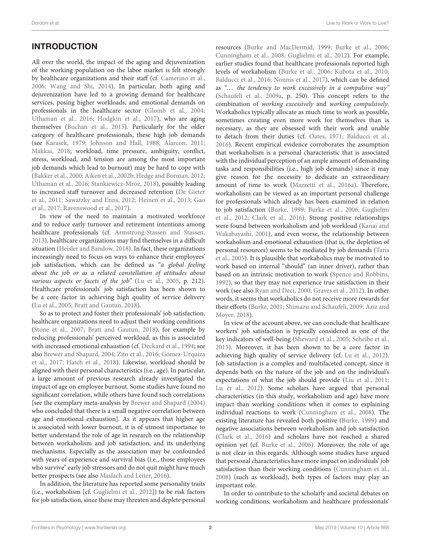# INTRODUCTION

All over the world, the impact of the aging and dejuvenization of the working population on the labor market is felt strongly by healthcare organizations and their staff (cf. [Camerino et al.,](#page-9-0) [2006;](#page-9-0) [Wang and Shi, 2014\)](#page-11-0). In particular, both aging and dejuvenization have led to a growing demand for healthcare services, posing higher workloads, and emotional demands on professionals in the healthcare sector [\(Glomb et al., 2004;](#page-10-0) [Uthaman et al., 2016;](#page-11-1) [Hodgkin et al., 2017\)](#page-10-1), who are aging themselves [\(Buchan et al., 2015\)](#page-9-1). Particularly for the older category of healthcare professionals, these high job demands (see [Karasek, 1979;](#page-10-2) [Johnson and Hall, 1988;](#page-10-3) [Alarcon, 2011;](#page-9-2) [Makkai, 2018;](#page-10-4) workload, time pressure, ambiguity, conflict, stress, workload, and tension are among the most important job demands which lead to burnout) may be hard to cope with [\(Bakker et al., 2000;](#page-9-3) [Aiken et al., 2002b;](#page-9-4) [Hedge and Borman, 2012;](#page-10-5) [Uthaman et al., 2016;](#page-11-1) [Stankiewicz-Mróz, 2018\)](#page-11-2), possibly leading to increased staff turnover and decreased retention (De Gieter et al., [2011;](#page-10-6) [Sawatzky and Enns, 2012;](#page-11-3) [Heinen et al., 2013;](#page-10-7) Gao et al., [2017;](#page-10-8) [Ravenswood et al., 2017\)](#page-11-4).

In view of the need to maintain a motivated workforce and to reduce early turnover and retirement intentions among healthcare professionals (cf. [Armstrong-Stassen and Stassen,](#page-9-5) [2013\)](#page-9-5), healthcare organizations may find themselves in a difficult situation [\(Heisler and Bandow, 2018\)](#page-10-9). In fact, these organizations increasingly need to focus on ways to enhance their employees' job satisfaction, which can be defined as "a global feeling about the job or as a related constellation of attitudes about various aspects or facets of the job" [\(Lu et al., 2005,](#page-10-10) p. 212). Healthcare professionals' job satisfaction has been shown to be a core factor in achieving high quality of service delivery [\(Lu et al., 2005;](#page-10-10) [Bratt and Gautun, 2018\)](#page-9-6).

So as to protect and foster their professionals' job satisfaction, healthcare organizations need to adjust their working conditions [\(Stone et al., 2007;](#page-11-5) [Bratt and Gautun, 2018\)](#page-9-6), for example by reducing professionals' perceived workload, as this is associated with increased emotional exhaustion (cf. [Deckard et al., 1994;](#page-10-11) see also [Brewer and Shapard, 2004;](#page-9-7) [Zito et al., 2016;](#page-11-6) Gómez-Urquiza et al., [2017;](#page-10-12) [Hatch et al., 2018\)](#page-10-13). Likewise, workload should be aligned with their personal characteristics (i.e., age). In particular, a large amount of previous research already investigated the impact of age on employee burnout. Some studies have found no significant correlation, while others have found such correlations [see the exemplary meta-analysis by [Brewer and Shapard \(2004\)](#page-9-7) who concluded that there is a small negative correlation between age and emotional exhaustion]. As it appears that higher age is associated with lower burnout, it is of utmost importance to better understand the role of age in research on the relationship between workaholism and job satisfaction, and its underlying mechanisms. Especially as the association may be confounded with years of experience and survival bias (i.e., those employees who survive" early job stressors and do not quit might have much better prospects (see also [Maslach and Leiter, 2016\)](#page-10-14).

In addition, the literature has reported some personality traits (i.e., workaholism [cf. [Guglielmi et al., 2012\]](#page-10-15)) to be risk factors for job satisfaction, since these may threaten and deplete personal resources [\(Burke and MacDermid, 1999;](#page-9-8) [Burke et al., 2006;](#page-9-9) [Cunningham et al., 2008;](#page-9-10) [Guglielmi et al., 2012\)](#page-10-15). For example, earlier studies found that healthcare professionals reported high levels of workaholism [\(Burke et al., 2006;](#page-9-9) [Kubota et al., 2010;](#page-10-16) [Balducci et al., 2016;](#page-9-11) [Nonnis et al., 2017\)](#page-11-7), which can be defined as "... the tendency to work excessively in a compulsive way" [\(Schaufeli et al., 2009a,](#page-11-8) p. 250). This concept refers to the combination of working excessively and working compulsively. Workaholics typically allocate as much time to work as possible, sometimes creating even more work for themselves than is necessary, as they are obsessed with their work and unable to detach from their duties (cf. [Oates, 1971;](#page-11-9) [Balducci et al.,](#page-9-11) [2016\)](#page-9-11). Recent empirical evidence corroborates the assumption that workaholism is a personal characteristic that is associated with the individual perception of an ample amount of demanding tasks and responsibilities (i.e., high job demands) since it may give reason for the necessity to dedicate an extraordinary amount of time to work [\(Mazzetti et al., 2016a\)](#page-10-17). Therefore, workaholism can be viewed as an important personal challenge for professionals which already has been examined in relation to job satisfaction [\(Burke, 1999;](#page-9-12) [Burke et al., 2006;](#page-9-9) Guglielmi et al., [2012;](#page-10-15) [Clark et al., 2016\)](#page-9-13). Strong positive relationships were found between workaholism and job workload (Kanai and Wakabayashi, [2001\)](#page-10-18), and even worse, the relationship between workaholism and emotional exhaustion (that is, the depletion of personal resources) seems to be mediated by job demands (Taris et al., [2005\)](#page-11-10). It is plausible that workaholics may be motivated to work based on internal "should" (an inner driver), rather than based on an intrinsic motivation to work [\(Spence and Robbins,](#page-11-11) [1992\)](#page-11-11), so that they may not experience true satisfaction in their work (see also [Ryan and Deci, 2000;](#page-11-12) [Graves et al., 2012\)](#page-10-19). In other words, it seems that workaholics do not receive more rewards for their efforts [\(Burke, 2001;](#page-9-14) [Shimazu and Schaufeli, 2009;](#page-11-13) Aziz and Moyer, [2018\)](#page-9-15).

In view of the account above, we can conclude that healthcare workers' job satisfaction is typically considered as one of the key indicators of well-being [\(Sheward et al., 2005;](#page-11-14) [Scheibe et al.,](#page-11-15) [2015\)](#page-11-15). Moreover, it has been shown to be a core factor in achieving high quality of service delivery (cf. [Lu et al., 2012\)](#page-10-20). Job satisfaction is a complex and multifaceted concept, since it depends both on the nature of the job and on the individual's expectations of what the job should provide [\(Liu et al., 2011;](#page-10-21) [Lu et al., 2012\)](#page-10-20). Some scholars have argued that personal characteristics (in this study, workaholism and age) have more impact than working conditions when it comes to explaining individual reactions to work [\(Cunningham et al., 2008\)](#page-9-10). The existing literature has revealed both positive [\(Burke, 1999\)](#page-9-12) and negative associations between workaholism and job satisfaction [\(Clark et al., 2016\)](#page-9-13) and scholars have not reached a shared opinion yet (cf. [Burke et al., 2006\)](#page-9-9). Moreover, the role of age is not clear in this regards. Although some studies have argued that personal characteristics have more impact on individuals' job satisfaction than their working conditions [\(Cunningham et al.,](#page-9-10) [2008\)](#page-9-10) (such as workload), both types of factors may play an important role.

In order to contribute to the scholarly and societal debates on working conditions, workaholism and healthcare professionals'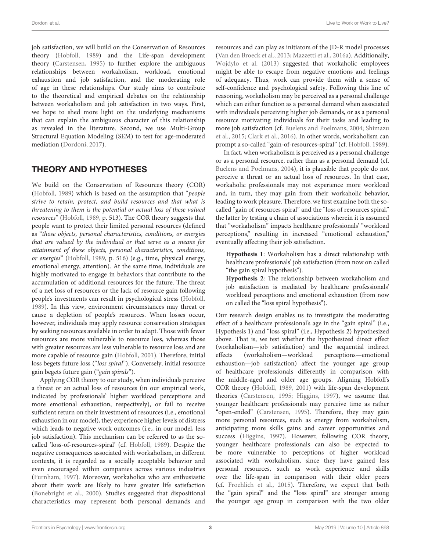Dordoni et al. Live to Work or Work to Live?

job satisfaction, we will build on the Conservation of Resources theory [\(Hobfoll, 1989\)](#page-10-22) and the Life-span development theory [\(Carstensen, 1995\)](#page-9-16) to further explore the ambiguous relationships between workaholism, workload, emotional exhaustion and job satisfaction, and the moderating role of age in these relationships. Our study aims to contribute to the theoretical and empirical debates on the relationship between workaholism and job satisfaction in two ways. First, we hope to shed more light on the underlying mechanisms that can explain the ambiguous character of this relationship as revealed in the literature. Second, we use Multi-Group Structural Equation Modeling (SEM) to test for age-moderated mediation [\(Dordoni, 2017\)](#page-10-23).

# THEORY AND HYPOTHESES

We build on the Conservation of Resources theory (COR) [\(Hobfoll, 1989\)](#page-10-22) which is based on the assumption that "people strive to retain, protect, and build resources and that what is threatening to them is the potential or actual loss of these valued resources" [\(Hobfoll, 1989,](#page-10-22) p. 513). The COR theory suggests that people want to protect their limited personal resources (defined as "those objects, personal characteristics, conditions, or energies that are valued by the individual or that serve as a means for attainment of these objects, personal characteristics, conditions, or energies" [\(Hobfoll, 1989,](#page-10-22) p. 516) (e.g., time, physical energy, emotional energy, attention). At the same time, individuals are highly motivated to engage in behaviors that contribute to the accumulation of additional resources for the future. The threat of a net loss of resources or the lack of resource gain following people's investments can result in psychological stress [\(Hobfoll,](#page-10-22) [1989\)](#page-10-22). In this view, environment circumstances may threat or cause a depletion of people's resources. When losses occur, however, individuals may apply resource conservation strategies by seeking resources available in order to adapt. Those with fewer resources are more vulnerable to resource loss, whereas those with greater resources are less vulnerable to resource loss and are more capable of resource gain [\(Hobfoll, 2001\)](#page-10-24). Therefore, initial loss begets future loss ("loss spiral"). Conversely, initial resource gain begets future gain ("gain spirals").

Applying COR theory to our study, when individuals perceive a threat or an actual loss of resources (in our empirical work, indicated by professionals' higher workload perceptions and more emotional exhaustion, respectively), or fail to receive sufficient return on their investment of resources (i.e., emotional exhaustion in our model), they experience higher levels of distress which leads to negative work outcomes (i.e., in our model, less job satisfaction). This mechanism can be referred to as the socalled 'loss-of-resources-spiral' (cf. [Hobfoll, 1989\)](#page-10-22). Despite the negative consequences associated with workaholism, in different contexts, it is regarded as a socially acceptable behavior and even encouraged within companies across various industries [\(Furnham, 1997\)](#page-10-25). Moreover, workaholics who are enthusiastic about their work are likely to have greater life satisfaction [\(Bonebright et al., 2000\)](#page-9-17). Studies suggested that dispositional characteristics may represent both personal demands and resources and can play as initiators of the JD-R model processes [\(Van den Broeck et al., 2013;](#page-11-16) [Mazzetti et al., 2016a\)](#page-10-17). Additionally, [Wojdylo et al. \(2013\)](#page-11-17) suggested that workaholic employees might be able to escape from negative emotions and feelings of adequacy. Thus, work can provide them with a sense of self-confidence and psychological safety. Following this line of reasoning, workaholism may be perceived as a personal challenge which can either function as a personal demand when associated with individuals perceiving higher job demands, or as a personal resource motivating individuals for their tasks and leading to more job satisfaction (cf. [Buelens and Poelmans, 2004;](#page-9-18) Shimazu et al., [2015;](#page-11-18) [Clark et al., 2016\)](#page-9-13). In other words, workaholism can prompt a so-called "gain-of-resources-spiral" (cf. [Hobfoll, 1989\)](#page-10-22).

In fact, when workaholism is perceived as a personal challenge or as a personal resource, rather than as a personal demand (cf. [Buelens and Poelmans, 2004\)](#page-9-18), it is plausible that people do not perceive a threat or an actual loss of resources. In that case, workaholic professionals may not experience more workload and, in turn, they may gain from their workaholic behavior, leading to work pleasure. Therefore, we first examine both the socalled "gain of resources spiral" and the "loss of resources spiral," the latter by testing a chain of associations wherein it is assumed that "workaholism" impacts healthcare professionals' "workload perceptions," resulting in increased "emotional exhaustion," eventually affecting their job satisfaction.

**Hypothesis 1**: Workaholism has a direct relationship with healthcare professionals' job satisfaction (from now on called "the gain spiral hypothesis").

**Hypothesis 2**: The relationship between workaholism and job satisfaction is mediated by healthcare professionals' workload perceptions and emotional exhaustion (from now on called the "loss spiral hypothesis").

Our research design enables us to investigate the moderating effect of a healthcare professional's age in the "gain spiral" (i.e., Hypothesis 1) and "loss spiral" (i.e., Hypothesis 2) hypothesized above. That is, we test whether the hypothesized direct effect (workaholism—job satisfaction) and the sequential indirect effects (workaholism—workload perceptions—emotional exhaustion—job satisfaction) affect the younger age group of healthcare professionals differently in comparison with the middle-aged and older age groups. Aligning Hobfoll's COR theory [\(Hobfoll, 1989,](#page-10-22) [2001\)](#page-10-24) with life-span development theories [\(Carstensen, 1995;](#page-9-16) [Higgins, 1997\)](#page-10-26), we assume that younger healthcare professionals may perceive time as rather "open-ended" [\(Carstensen, 1995\)](#page-9-16). Therefore, they may gain more personal resources, such as energy from workaholism, anticipating more skills gains and career opportunities and success [\(Higgins, 1997\)](#page-10-26). However, following COR theory, younger healthcare professionals can also be expected to be more vulnerable to perceptions of higher workload associated with workaholism, since they have gained less personal resources, such as work experience and skills over the life-span in comparison with their older peers (cf. [Froehlich et al., 2015\)](#page-10-27). Therefore, we expect that both the "gain spiral" and the "loss spiral" are stronger among the younger age group in comparison with the two older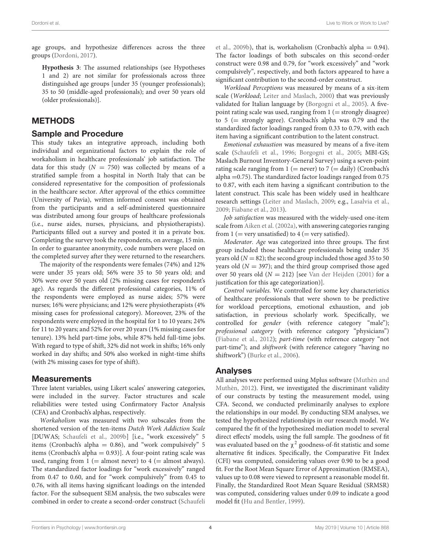age groups, and hypothesize differences across the three groups [\(Dordoni, 2017\)](#page-10-23).

**Hypothesis 3**: The assumed relationships (see Hypotheses 1 and 2) are not similar for professionals across three distinguished age groups [under 35 (younger professionals); 35 to 50 (middle-aged professionals); and over 50 years old (older professionals)].

### METHODS

### Sample and Procedure

This study takes an integrative approach, including both individual and organizational factors to explain the role of workaholism in healthcare professionals' job satisfaction. The data for this study  $(N = 750)$  was collected by m[eans of a](#page-11-19) stratified sample from a hospital in North Italy that can be considered representative for the composition of professionals in the healthcare sector. After approval of the ethics committee (University of Pavia), written informed consent was obtained from the participants and a self-administered questionnaire was distributed among four groups of healthcare professionals (i.e., nurse aides, nurses, physicians, and physiotherapists). Participants filled out a survey and posted it in a private box. Completing the survey took the respondents, on average, 15 min. In order to guarantee anonymity, code numbers were placed on the completed survey after they were returned to the researchers.

The majority of the respondents were females (74%) and 12% were under 35 years old; 56% were 35 to 50 years old; and 30% were over 50 years old (2% missing cases for respondent's age). As regards the different professional categories, 11% of the respondents were employed as nurse aides; 57% were nurses; 16% were physicians; and 12% were physiotherapists (4% missing cases for professional category). Moreover, 23% of the respondents were employed in the hospital for 1 to 10 years; 24% for 11 to 20 years; and 52% for over 20 years (1% missing cases for tenure). 13% held part-time jobs, while 87% held full-time jobs. With regard to type of shift, 32% did not work in shifts; 16% only worked in day shifts; and 50% also worked in night-time shifts (with 2% missing cases for type of shift).

### **Measurements**

Three latent variables, using Likert scales' answering categories, were included in the survey. Factor structures and scale reliabilities were tested using Confirmatory Factor Analysis (CFA) and Cronbach's alphas, respectively.

Workaholism was measured with two subscales from the shortened version of the ten-items Dutch Work Addiction Scale [DUWAS; [Schaufeli et al., 2009b\]](#page-11-19) [i.e., "work excessively" 5 items (Cronbach's alpha = 0.86), and "work compulsively" 5 items (Cronbach's alpha  $= 0.93$ ). A four-point rating scale was used, ranging from  $1$  (= almost never) to  $4$  (= almost always). The standardized factor loadings for "work excessively" ranged from 0.47 to 0.60, and for "work compulsively" from 0.45 to 0.76, with all items having significant loadings on the intended factor. For the subsequent SEM analysis, the two subscales were combined in order to create a second-order construct (Schaufeli et al., [2009b\)](#page-11-19), that is, workaholism (Cronbach's alpha =  $0.94$ ). The factor loadings of both subscales on this second-order construct were 0.98 and 0.79, for "work excessively" and "work compulsively", respectively, and both factors appeared to have a significant contribution to the second-order construct.

Workload Perceptions was measured by means of a six-item scale (Workload; [Leiter and Maslach, 2000\)](#page-10-28) that was previously validated for Italian language by [\(Borgogni et al., 2005\)](#page-9-19). A fivepoint rating scale was used, ranging from  $1 (=$  strongly disagree) to 5 (= strongly agree). Cronbach's alpha was 0.79 and the standardized factor loadings ranged from 0.33 to 0.79, with each item having a significant contribution to the latent construct.

Emotional exhaustion was measured by means of a five-item scale [\(Schaufeli et al., 1996;](#page-11-20) [Borgogni et al., 2005;](#page-9-19) MBI-GS; Maslach Burnout Inventory-General Survey) using a seven-point rating scale ranging from  $1$  (= never) to  $7$  (= daily) (Cronbach's alpha =0.75). The standardized factor loadings ranged from 0.75 to 0.87, with each item having a significant contribution to the latent construct. This scale has been widely used in healthcare research settings [\(Leiter and Maslach, 2009;](#page-10-29) e.g., [Lasalvia et al.,](#page-10-30) [2009;](#page-10-30) [Fiabane et al., 2013\)](#page-10-31).

Job satisfaction was measured with the widely-used one-item scale from [Aiken et al. \(2002a\)](#page-9-20), with answering categories ranging from  $1$  (= very unsatisfied) to  $4$  (= very satisfied).

Moderator. Age was categorized into three groups. The first group included those healthcare professionals being under 35 years old ( $N = 82$ ); the second group included those aged 35 to 50 years old  $(N = 397)$ ; and the third group comprised those aged over 50 years old  $(N = 212)$  [see [Van der Heijden \(2001\)](#page-11-21) for a justification for this age categorization)].

Control variables. We controlled for some key characteristics of healthcare professionals that were shown to be predictive for workload perceptions, emotional exhaustion, and job satisfaction, in previous scholarly work. Specifically, we controlled for gender (with reference category "male"); professional category (with reference category "physicians") [\(Fiabane et al., 2012\)](#page-10-32); part-time (with reference category "not part-time"); and shiftwork (with reference category "having no shiftwork") [\(Burke et al., 2006\)](#page-9-9).

### Analyses

All analyses were performed using Mplus software (Muthèn and Muthèn, [2012\)](#page-11-22). First, we investigated the discriminant validity of our constructs by testing the measurement model, using CFA. Second, we conducted preliminarily analyses to explore the relationships in our model. By conducting SEM analyses, we tested the hypothesized relationships in our research model. We compared the fit of the hypothesized mediation model to several direct effects' models, using the full sample. The goodness of fit was evaluated based on the  $\chi^2$  goodness-of-fit statistic and some alternative fit indices. Specifically, the Comparative Fit Index (CFI) was computed, considering values over 0.90 to be a good fit. For the Root Mean Square Error of Approximation (RMSEA), values up to 0.08 were viewed to represent a reasonable model fit. Finally, the Standardized Root Mean Square Residual (SRMSR) was computed, considering values under 0.09 to indicate a good model fit [\(Hu and Bentler, 1999\)](#page-10-33).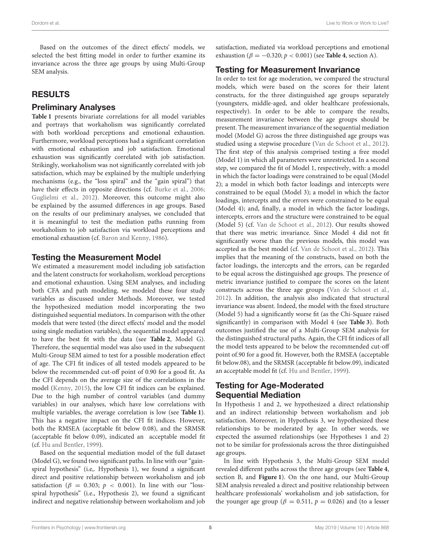Based on the outcomes of the direct effects' models, we selected the best fitting model in order to further examine its invariance across the three age groups by using Multi-Group SEM analysis.

# RESULTS

# Preliminary Analyses

**[Table 1](#page-5-0)** presents bivariate correlations for all model variables and portrays that workaholism was significantly correlated with both workload perceptions and emotional exhaustion. Furthermore, workload perceptions had a significant correlation with emotional exhaustion and job satisfaction. Emotional exhaustion was significantly correlated with job satisfaction. Strikingly, workaholism was not significantly correlated with job satisfaction, which may be explained by the multiple underlying mechanisms (e.g., the "loss spiral" and the "gain spiral") that have their effects in opposite directions (cf. [Burke et al., 2006;](#page-9-9) [Guglielmi et al., 2012\)](#page-10-15). Moreover, this outcome might also be explained by the assumed differences in age groups. Based on the results of our preliminary analyses, we concluded that it is meaningful to test the mediation paths running from workaholism to job satisfaction via workload perceptions and emotional exhaustion (cf. [Baron and Kenny, 1986\)](#page-9-21).

# Testing the Measurement Model

We estimated a measurement model including job satisfaction and the latent constructs for workaholism, workload perceptions and emotional exhaustion. Using SEM analyses, and including both CFA and path modeling, we modeled these four study variables as discussed under Methods. Moreover, we tested the hypothesized mediation model incorporating the two distinguished sequential mediators. In comparison with the other models that were tested (the direct effects' model and the model using single mediation variables), the sequential model appeared to have the best fit with the data (see **[Table 2](#page-5-1)**, Model G). Therefore, the sequential model was also used in the subsequent Multi-Group SEM aimed to test for a possible moderation effect of age. The CFI fit indices of all tested models appeared to be below the recommended cut-off point of 0.90 for a good fit. As the CFI depends on the average size of the correlations in the model [\(Kenny, 2015\)](#page-10-34), the low CFI fit indices can be explained. Due to the high number of control variables (and dummy variables) in our analyses, which have low correlations with multiple variables, the average correlation is low (see **[Table 1](#page-5-0)**). This has a negative impact on the CFI fit indices. However, both the RMSEA (acceptable fit below 0.08), and the SRMSR (acceptable fit below 0.09), indicated an acceptable model fit (cf. [Hu and Bentler, 1999\)](#page-10-33).

Based on the sequential mediation model of the full dataset (Model G), we found two significant paths. In line with our "gainspiral hypothesis" (i.e,. Hypothesis 1), we found a significant direct and positive relationship between workaholism and job satisfaction ( $\beta = 0.303$ ;  $p < 0.001$ ). In line with our "lossspiral hypothesis" (i.e., Hypothesis 2), we found a significant indirect and negative relationship between workaholism and job satisfaction, mediated via workload perceptions and emotional exhaustion ( $\beta = -0.320$ ;  $p < 0.001$ ) (see **[Table 4](#page-7-0)**, section A).

# Testing for Measurement Invariance

In order to test for age moderation, we compared the structural models, which were based on the scores for their latent constructs, for the three distinguished age groups separately (youngsters, middle-aged, and older healthcare professionals, respectively). In order to be able to compare the results, measurement invariance between the age groups should be present. The measurement invariance of the sequential mediation model (Model G) across the three distinguished age groups was studied using a stepwise procedure [\(Van de Schoot et al., 2012\)](#page-11-23). The first step of this analysis comprised testing a free model (Model 1) in which all parameters were unrestricted. In a second step, we compared the fit of Model 1, respectively, with: a model in which the factor loadings were constrained to be equal (Model 2); a model in which both factor loadings and intercepts were constrained to be equal (Model 3); a model in which the factor loadings, intercepts and the errors were constrained to be equal (Model 4); and, finally, a model in which the factor loadings, intercepts, errors and the structure were constrained to be equal (Model 5) (cf. [Van de Schoot et al., 2012\)](#page-11-23). Our results showed that there was metric invariance. Since Model 4 did not fit significantly worse than the previous models, this model was accepted as the best model (cf. [Van de Schoot et al., 2012\)](#page-11-23). This implies that the meaning of the constructs, based on both the factor loadings, the intercepts and the errors, can be regarded to be equal across the distinguished age groups. The presence of metric invariance justified to compare the scores on the latent constructs across the three age groups [\(Van de Schoot et al.,](#page-11-23) [2012\)](#page-11-23). In addition, the analysis also indicated that structural invariance was absent. Indeed, the model with the fixed structure (Model 5) had a significantly worse fit (as the Chi-Square raised significantly) in comparison with Model 4 (see **[Table 3](#page-6-0)**). Both outcomes justified the use of a Multi-Group SEM analysis for the distinguished structural paths. Again, the CFI fit indices of all the model tests appeared to be below the recommended cut-off point of.90 for a good fit. However, both the RMSEA (acceptable fit below.08), and the SRMSR (acceptable fit below.09), indicated an acceptable model fit (cf. [Hu and Bentler, 1999\)](#page-10-33).

# Testing for Age-Moderated Sequential Mediation

In Hypothesis 1 and 2, we hypothesized a direct relationship and an indirect relationship between workaholism and job satisfaction. Moreover, in Hypothesis 3, we hypothesized these relationships to be moderated by age. In other words, we expected the assumed relationships (see Hypotheses 1 and 2) not to be similar for professionals across the three distinguished age groups.

In line with Hypothesis 3, the Multi-Group SEM model revealed different paths across the three age groups (see **[Table 4](#page-7-0)**, section B, and **[Figure 1](#page-8-0)**). On the one hand, our Multi-Group SEM analysis revealed a direct and positive relationship between healthcare professionals' workaholism and job satisfaction, for the younger age group ( $\beta = 0.511$ ,  $p = 0.026$ ) and (to a lesser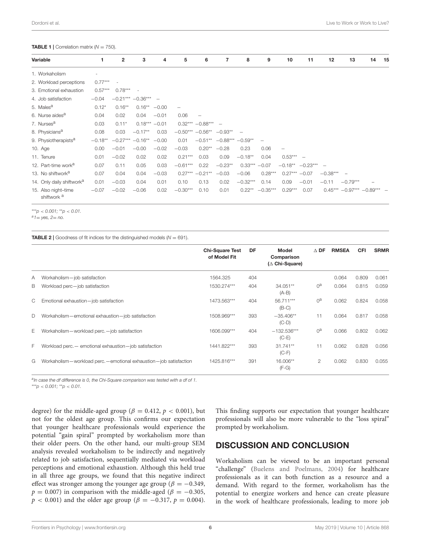#### <span id="page-5-0"></span>**TABLE 1** | Correlation matrix  $(N = 750)$ .

| Variable                                      | 1         | $\mathbf{2}$ | 3                     | 4               | 5                    | 6                 | 7                        | 8          | 9                        | 10                       | 11             | 12         | 13                          | 14 | - 15 |
|-----------------------------------------------|-----------|--------------|-----------------------|-----------------|----------------------|-------------------|--------------------------|------------|--------------------------|--------------------------|----------------|------------|-----------------------------|----|------|
| 1. Workaholism                                |           |              |                       |                 |                      |                   |                          |            |                          |                          |                |            |                             |    |      |
| 2. Workload perceptions                       | $0.77***$ |              |                       |                 |                      |                   |                          |            |                          |                          |                |            |                             |    |      |
| 3. Emotional exhaustion                       | $0.57***$ | $0.78***$    |                       |                 |                      |                   |                          |            |                          |                          |                |            |                             |    |      |
| 4. Job satisfaction                           | $-0.04$   |              | $-0.21***$ $-0.36***$ |                 |                      |                   |                          |            |                          |                          |                |            |                             |    |      |
| 5. Males <sup>a</sup>                         | $0.12*$   | $0.16***$    | $0.16***$             | $-0.00$         |                      |                   |                          |            |                          |                          |                |            |                             |    |      |
| 6. Nurse aides <sup>a</sup>                   | 0.04      | 0.02         | 0.04                  | $-0.01$         | 0.06                 |                   |                          |            |                          |                          |                |            |                             |    |      |
| 7. Nurses <sup>a</sup>                        | 0.03      | $0.11*$      |                       | $0.18*** -0.01$ |                      | $0.32***-0.88***$ | $\overline{\phantom{0}}$ |            |                          |                          |                |            |                             |    |      |
| 8. Physicians <sup>a</sup>                    | 0.08      | 0.03         | $-0.17**$             | 0.03            | $-0.50***$ $-0.56**$ |                   | $-0.93**$                |            |                          |                          |                |            |                             |    |      |
| 9. Physiotherapists <sup>a</sup>              | $-0.18**$ |              | $-0.27***$ $-0.16**$  | $-0.00$         | 0.01                 | $-0.51***$        | $-0.88***$ $-0.59**$     |            | $\overline{\phantom{m}}$ |                          |                |            |                             |    |      |
| 10. Age                                       | 0.00      | $-0.01$      | $-0.00$               | $-0.02$         | $-0.03$              | $0.20**$          | $-0.28$                  | 0.23       | 0.06                     | $\overline{\phantom{0}}$ |                |            |                             |    |      |
| 11. Tenure                                    | 0.01      | $-0.02$      | 0.02                  | 0.02            | $0.21***$            | 0.03              | 0.09                     | $-0.18**$  | 0.04                     | $0.53***$ –              |                |            |                             |    |      |
| 12. Part-time work <sup>a</sup>               | 0.07      | 0.11         | 0.05                  | 0.03            | $-0.61***$           | 0.22              | $-0.23**$                | $0.33***$  | $-0.07$                  | $-0.18**$                | $-0.23***$ $-$ |            |                             |    |      |
| 13. No shiftwork <sup>a</sup>                 | 0.07      | 0.04         | 0.04                  | $-0.03$         | $0.27***$            | $-0.21**$         | $-0.03$                  | $-0.06$    | $0.28***$                | $0.27*** -0.07$          |                | $-0.38***$ | $\overline{\phantom{m}}$    |    |      |
| 14. Only daily shiftwork <sup>a</sup>         | 0.01      | $-0.03$      | 0.04                  | 0.01            | 0.10                 | 0.13              | 0.02                     | $-0.32***$ | 0.14                     | 0.09                     | $-0.01$        | $-0.11$    | $-0.79***$                  |    |      |
| 15. Also night-time<br>shiftwork <sup>a</sup> | $-0.07$   | $-0.02$      | $-0.06$               | 0.02            | $-0.30***$           | 0.10              | 0.01                     | $0.22***$  | $-0.35***$               | $0.29***$                | 0.07           |            | $0.45*** -0.97*** -0.89***$ |    |      |

\*\*\*p < 0.001; \*\*p < 0.01.

 $a_1 = v$ es, 2= no.

<span id="page-5-1"></span>**TABLE 2** | Goodness of fit indices for the distinguished models  $(N = 691)$ .

|    |                                                                        | <b>Chi-Square Test</b><br>of Model Fit | DF  | Model<br>Comparison<br>$(\triangle$ Chi-Square) | $\triangle$ DF | <b>RMSEA</b> | <b>CFI</b> | <b>SRMR</b> |
|----|------------------------------------------------------------------------|----------------------------------------|-----|-------------------------------------------------|----------------|--------------|------------|-------------|
| Α  | Workaholism-job satisfaction                                           | 1564.325                               | 404 |                                                 |                | 0.064        | 0.809      | 0.061       |
| B  | Workload perc-job satisfaction                                         | 1530.274***                            | 404 | 34.051**<br>$(A-B)$                             | $0^a$          | 0.064        | 0.815      | 0.059       |
| C  | Emotional exhaustion-job satisfaction                                  | 1473.563***                            | 404 | 56.711***<br>$(B-C)$                            | 0 <sup>a</sup> | 0.062        | 0.824      | 0.058       |
| D  | Workaholism-emotional exhaustion-job satisfaction                      | 1508.969***                            | 393 | $-35.406**$<br>$(C-D)$                          | 11             | 0.064        | 0.817      | 0.058       |
| E. | Workaholism - workload perc. - job satisfaction                        | 1606.099***                            | 404 | $-132.536***$<br>$(C-E)$                        | $0^{\text{a}}$ | 0.066        | 0.802      | 0.062       |
| F  | Workload perc. - emotional exhaustion - job satisfaction               | 1441.822***                            | 393 | $31.741**$<br>$(C-F)$                           | 11             | 0.062        | 0.828      | 0.056       |
| G  | Workaholism - workload perc. - emotional exhaustion - job satisfaction | 1425.816***                            | 391 | 16.006**<br>$(F-G)$                             | $\mathcal{P}$  | 0.062        | 0.830      | 0.055       |

aln case the df difference is 0, the Chi-Square comparison was tested with a df of 1. \*\*\*p < 0.001; \*\*p < 0.01.

degree) for the middle-aged group ( $\beta = 0.412$ ,  $p < 0.001$ ), but not for the oldest age group. This confirms our expectation that younger healthcare professionals would experience the potential "gain spiral" prompted by workaholism more than their older peers. On the other hand, our multi-group SEM analysis revealed workaholism to be indirectly and negatively related to job satisfaction, sequentially mediated via workload perceptions and emotional exhaustion. Although this held true in all three age groups, we found that this negative indirect effect was stronger among the younger age group ( $\beta = -0.349$ ,  $p = 0.007$ ) in comparison with the middle-aged ( $\beta = -0.305$ ,  $p < 0.001$ ) and the older age group ( $\beta = -0.317$ ,  $p = 0.004$ ). This finding supports our expectation that younger healthcare professionals will also be more vulnerable to the "loss spiral" prompted by workaholism.

# DISCUSSION AND CONCLUSION

Workaholism can be viewed to be an important personal "challenge" [\(Buelens and Poelmans, 2004\)](#page-9-18) for healthcare professionals as it can both function as a resource and a demand. With regard to the former, workaholism has the potential to energize workers and hence can create pleasure in the work of healthcare professionals, leading to more job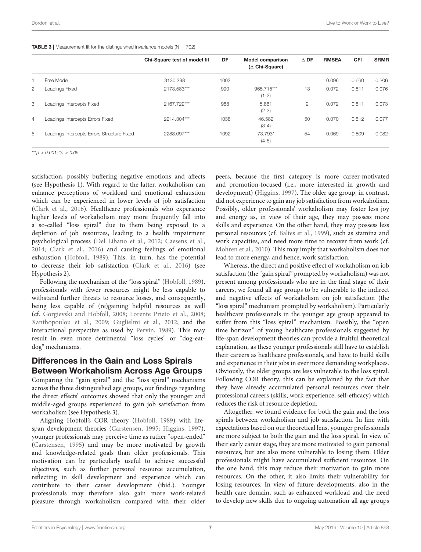<span id="page-6-0"></span>**TABLE 3** | Measurement fit for the distinguished invariance models ( $N = 702$ ).

|                |                                            | Chi-Square test of model fit | DF   | <b>Model comparison</b><br>$(\triangle$ Chi-Square) | $\triangle$ DF | <b>RMSEA</b> | <b>CFI</b> | <b>SRMR</b> |
|----------------|--------------------------------------------|------------------------------|------|-----------------------------------------------------|----------------|--------------|------------|-------------|
|                | Free Model                                 | 3130.298                     | 1003 |                                                     |                | 0.096        | 0.660      | 0.206       |
| $\overline{2}$ | Loadings Fixed                             | 2173.583***                  | 990  | 965.715***<br>$(1-2)$                               | 13             | 0.072        | 0.811      | 0.076       |
| 3              | Loadings Intercepts Fixed                  | 2167.722***                  | 988  | 5.861<br>$(2-3)$                                    | 2              | 0.072        | 0.811      | 0.073       |
| $\overline{4}$ | Loadings Intercepts Errors Fixed           | 2214.304***                  | 1038 | 46.582<br>$(3-4)$                                   | 50             | 0.070        | 0.812      | 0.077       |
| 5              | Loadings Intercepts Errors Structure Fixed | 2288.097***                  | 1092 | 73.793*<br>$(4-5)$                                  | 54             | 0.069        | 0.809      | 0.082       |

\*\*\*p < 0.001;  $p$  < 0.05.

satisfaction, possibly buffering negative emotions and affects (see Hypothesis 1). With regard to the latter, workaholism can enhance perceptions of workload and emotional exhaustion which can be experienced in lower levels of job satisfaction [\(Clark et al., 2016\)](#page-9-13). Healthcare professionals who experience higher levels of workaholism may more frequently fall into a so-called "loss spiral" due to them being exposed to a depletion of job resources, leading to a health impairment psychological process [\(Del Líbano et al., 2012;](#page-10-35) [Caesens et al.,](#page-9-22) [2014;](#page-9-22) [Clark et al., 2016\)](#page-9-13) and causing feelings of emotional exhaustion [\(Hobfoll, 1989\)](#page-10-22). This, in turn, has the potential to decrease their job satisfaction [\(Clark et al., 2016\)](#page-9-13) (see Hypothesis 2).

Following the mechanism of the "loss spiral" [\(Hobfoll, 1989\)](#page-10-22), professionals with fewer resources might be less capable to withstand further threats to resource losses, and consequently, being less capable of (re)gaining helpful resources as well (cf. [Gorgievski and Hobfoll, 2008;](#page-10-36) [Lorente Prieto et al., 2008;](#page-10-37) [Xanthopoulou et al., 2009;](#page-11-24) [Guglielmi et al., 2012;](#page-10-15) and the interactional perspective as used by [Pervin, 1989\)](#page-11-25). This may result in even more detrimental "loss cycles" or "dog-eatdog" mechanisms.

# Differences in the Gain and Loss Spirals Between Workaholism Across Age Groups

Comparing the "gain spiral" and the "loss spiral" mechanisms across the three distinguished age groups, our findings regarding the direct effects' outcomes showed that only the younger and middle-aged groups experienced to gain job satisfaction from workaholism (see Hypothesis 3).

Aligning Hobfoll's COR theory [\(Hobfoll, 1989\)](#page-10-22) with lifespan development theories [\(Carstensen, 1995;](#page-9-16) [Higgins, 1997\)](#page-10-26), younger professionals may perceive time as rather "open-ended" [\(Carstensen, 1995\)](#page-9-16) and may be more motivated by growth and knowledge-related goals than older professionals. This motivation can be particularly useful to achieve successful objectives, such as further personal resource accumulation, reflecting in skill development and experience which can contribute to their career development (ibid.). Younger professionals may therefore also gain more work-related pleasure through workaholism compared with their older peers, because the first category is more career-motivated and promotion-focused (i.e., more interested in growth and development) [\(Higgins, 1997\)](#page-10-26). The older age group, in contrast, did not experience to gain any job satisfaction from workaholism. Possibly, older professionals' workaholism may foster less joy and energy as, in view of their age, they may possess more skills and experience. On the other hand, they may possess less personal resources (cf. [Baltes et al., 1999\)](#page-9-23), such as stamina and work capacities, and need more time to recover from work (cf. [Mohren et al., 2010\)](#page-11-26). This may imply that workaholism does not lead to more energy, and hence, work satisfaction.

Whereas, the direct and positive effect of workaholism on job satisfaction (the "gain spiral" prompted by workaholism) was not present among professionals who are in the final stage of their careers, we found all age groups to be vulnerable to the indirect and negative effects of workaholism on job satisfaction (the "loss spiral" mechanism prompted by workaholism). Particularly healthcare professionals in the younger age group appeared to suffer from this "loss spiral" mechanism. Possibly, the "open time horizon" of young healthcare professionals suggested by life-span development theories can provide a fruitful theoretical explanation, as these younger professionals still have to establish their careers as healthcare professionals, and have to build skills and experience in their jobs in ever more demanding workplaces. Obviously, the older groups are less vulnerable to the loss spiral. Following COR theory, this can be explained by the fact that they have already accumulated personal resources over their professional careers (skills, work experience, self-efficacy) which reduces the risk of resource depletion.

Altogether, we found evidence for both the gain and the loss spirals between workaholism and job satisfaction. In line with expectations based on our theoretical lens, younger professionals are more subject to both the gain and the loss spiral. In view of their early career stage, they are more motivated to gain personal resources, but are also more vulnerable to losing them. Older professionals might have accumulated sufficient resources. On the one hand, this may reduce their motivation to gain more resources. On the other, it also limits their vulnerability for losing resources. In view of future developments, also in the health care domain, such as enhanced workload and the need to develop new skills due to ongoing automation all age groups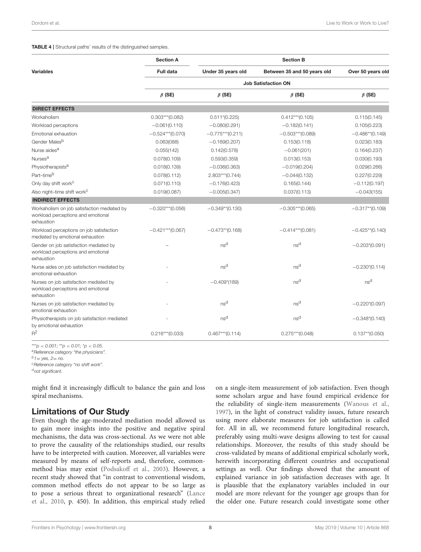#### <span id="page-7-0"></span>TABLE 4 | Structural paths' results of the distinguished samples.

|                                                                                                 | <b>Section A</b>           | <b>Section B</b>   |                             |                    |  |  |  |  |  |  |
|-------------------------------------------------------------------------------------------------|----------------------------|--------------------|-----------------------------|--------------------|--|--|--|--|--|--|
| <b>Variables</b>                                                                                | <b>Full data</b>           | Under 35 years old | Between 35 and 50 years old | Over 50 years old  |  |  |  |  |  |  |
|                                                                                                 | <b>Job Satisfaction ON</b> |                    |                             |                    |  |  |  |  |  |  |
|                                                                                                 | $\beta$ (SE)               | $\beta$ (SE)       | $\beta$ (SE)                | $\beta$ (SE)       |  |  |  |  |  |  |
| <b>DIRECT EFFECTS</b>                                                                           |                            |                    |                             |                    |  |  |  |  |  |  |
| Workaholism                                                                                     | $0.303***$ (0.082)         | $0.511*(0.225)$    | $0.412***$ (0.105)          | 0.115(0.145)       |  |  |  |  |  |  |
| Workload perceptions                                                                            | $-0.061(0.110)$            | $-0.080(0.291)$    | $-0.182(0.141)$             | 0.105(0.223)       |  |  |  |  |  |  |
| Emotional exhaustion                                                                            | $-0.524***(0.070)$         | $-0.775***(0.211)$ | $-0.503***$ (0.089)         | $-0.486**$ (0.149) |  |  |  |  |  |  |
| Gender Males <sup>b</sup>                                                                       | 0.063(088)                 | $-0.169(0.207)$    | 0.153(0.118)                | 0.023(0.183)       |  |  |  |  |  |  |
| Nurse aides <sup>a</sup>                                                                        | 0.055(142)                 | 0.142(0.578)       | $-0.061(201)$               | 0.164(0.237)       |  |  |  |  |  |  |
| Nurses <sup>a</sup>                                                                             | 0.078(0.109)               | 0.593(0.359)       | 0.013(0.153)                | 0.030(0.193)       |  |  |  |  |  |  |
| Physiotherapists <sup>a</sup>                                                                   | 0.018(0.139)               | $-0.036(0.363)$    | $-0.019(0.204)$             | 0.029(0.266)       |  |  |  |  |  |  |
| Part-time <sup>b</sup>                                                                          | 0.078(0.112)               | $2.803***(0.744)$  | $-0.044(0.132)$             | 0.227(0.229)       |  |  |  |  |  |  |
| Only day shift work <sup>c</sup>                                                                | 0.071(0.110)               | $-0.176(0.423)$    | 0.165(0.144)                | $-0.112(0.197)$    |  |  |  |  |  |  |
| Also night-time shift work <sup>c</sup>                                                         | 0.019(0.087)               | $-0.005(0.347)$    | 0.037(0.113)                | $-0.043(155)$      |  |  |  |  |  |  |
| <b>INDIRECT EFFECTS</b>                                                                         |                            |                    |                             |                    |  |  |  |  |  |  |
| Workaholism on job satisfaction mediated by<br>workload perceptions and emotional<br>exhaustion | $-0.320***$ (0.056)        | $-0.349**$ (0.130) | $-0.305***$ (0.065)         | $-0.317**$ (0.109) |  |  |  |  |  |  |
| Workload perceptions on job satisfaction<br>mediated by emotional exhaustion                    | $-0.421***(0.067)$         | $-0.473**$ (0.168) | $-0.414***(0.081)$          | $-0.425**$ (0.140) |  |  |  |  |  |  |
| Gender on job satisfaction mediated by<br>workload perceptions and emotional<br>exhaustion      |                            | ns <sup>d</sup>    | ns <sup>d</sup>             | $-0.203*(0.091)$   |  |  |  |  |  |  |
| Nurse aides on job satisfaction mediated by<br>emotional exhaustion                             |                            | nsd                | ns <sup>d</sup>             | $-0.230*(0.114)$   |  |  |  |  |  |  |
| Nurses on job satisfaction mediated by<br>workload perceptions and emotional<br>exhaustion      |                            | $-0.409*(189)$     | ns <sup>d</sup>             | ns <sup>d</sup>    |  |  |  |  |  |  |
| Nurses on job satisfaction mediated by<br>emotional exhaustion                                  |                            | ns <sup>d</sup>    | ns <sup>d</sup>             | $-0.220*(0.097)$   |  |  |  |  |  |  |
| Physiotherapists on job satisfaction mediated<br>by emotional exhaustion                        |                            | ns <sup>d</sup>    | ns <sup>d</sup>             | $-0.348*(0.140)$   |  |  |  |  |  |  |
| $R^2$                                                                                           | $0.216***$ (0.033)         | $0.467***$ (0.114) | $0.275***(0.048)$           | $0.137**$ (0.050)  |  |  |  |  |  |  |

\*\*\*p < 0.001; \*\*p < 0.01; \*p < 0.05.

<sup>a</sup> Reference category "the physicians".  $b_1 = y$ es, 2= no.

<sup>c</sup>Reference category "no shift work".

d<sub>not significant.</sub>

might find it increasingly difficult to balance the gain and loss spiral mechanisms.

# Limitations of Our Study

Even though the age-moderated mediation model allowed us to gain more insights into the positive and negative spiral mechanisms, the data was cross-sectional. As we were not able to prove the causality of the relationships studied, our results have to be interpreted with caution. Moreover, all variables were measured by means of self-reports and, therefore, commonmethod bias may exist [\(Podsakoff et al., 2003\)](#page-11-27). However, a recent study showed that "in contrast to conventional wisdom, common method effects do not appear to be so large as to pose a serious threat to organizational research" (Lance et al., [2010,](#page-10-38) p. 450). In addition, this empirical study relied

on a single-item measurement of job satisfaction. Even though some scholars argue and have found empirical evidence for the reliability of single-item measurements [\(Wanous et al.,](#page-11-28) [1997\)](#page-11-28), in the light of construct validity issues, future research using more elaborate measures for job satisfaction is called for. All in all, we recommend future longitudinal research, preferably using multi-wave designs allowing to test for causal relationships. Moreover, the results of this study should be cross-validated by means of additional empirical scholarly work, herewith incorporating different countries and occupational settings as well. Our findings showed that the amount of explained variance in job satisfaction decreases with age. It is plausible that the explanatory variables included in our model are more relevant for the younger age groups than for the older one. Future research could investigate some other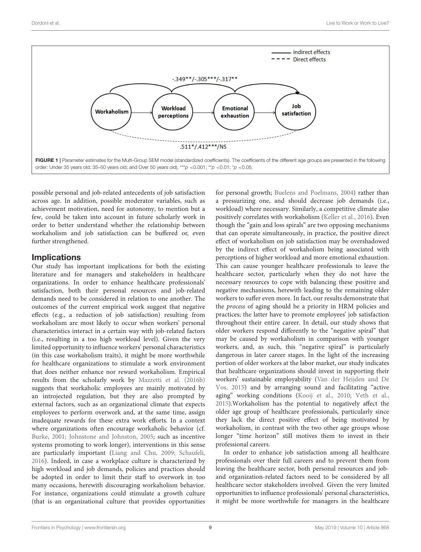

<span id="page-8-0"></span>possible personal and job-related antecedents of job satisfaction across age. In addition, possible moderator variables, such as achievement motivation, need for autonomy, to mention but a few, could be taken into account in future scholarly work in order to better understand whether the relationship between workaholism and job satisfaction can be buffered or, even further strengthened.

# **Implications**

Our study has important implications for both the existing literature and for managers and stakeholders in healthcare organizations. In order to enhance healthcare professionals' satisfaction, both their personal resources and job-related demands need to be considered in relation to one another. The outcomes of the current empirical work suggest that negative effects (e.g., a reduction of job satisfaction) resulting from workaholism are most likely to occur when workers' personal characteristics interact in a certain way with job-related factors (i.e., resulting in a too high workload level). Given the very limited opportunity to influence workers' personal characteristics (in this case workaholism traits), it might be more worthwhile for healthcare organizations to stimulate a work environment that does neither enhance nor reward workaholism. Empirical results from the scholarly work by [Mazzetti et al. \(2016b\)](#page-10-39) suggests that workaholic employees are mainly motivated by an introjected regulation, but they are also prompted by external factors, such as an organizational climate that expects employees to perform overwork and, at the same time, assign inadequate rewards for these extra work efforts. In a context where organizations often encourage workaholic behavior (cf. [Burke, 2001;](#page-9-14) [Johnstone and Johnston, 2005;](#page-10-40) such as incentive systems promoting to work longer), interventions in this sense are particularly important [\(Liang and Chu, 2009;](#page-10-41) [Schaufeli,](#page-11-29) [2016\)](#page-11-29). Indeed, in case a workplace culture is characterized by high workload and job demands, policies and practices should be adopted in order to limit their staff to overwork in too many occasions, herewith discouraging workaholism behavior. For instance, organizations could stimulate a growth culture (that is an organizational culture that provides opportunities for personal growth; [Buelens and Poelmans, 2004\)](#page-9-18) rather than a pressurizing one, and should decrease job demands (i.e., workload) where necessary. Similarly, a competitive climate also positively correlates with workaholism [\(Keller et al., 2016\)](#page-10-42). Even though the "gain and loss spirals" are two opposing mechanisms that can operate simultaneously, in practice, the positive direct effect of workaholism on job satisfaction may be overshadowed by the indirect effect of workaholism being associated with perceptions of higher workload and more emotional exhaustion. This can cause younger healthcare professionals to leave the healthcare sector, particularly when they do not have the necessary resources to cope with balancing these positive and negative mechanisms, herewith leading to the remaining older workers to suffer even more. In fact, our results demonstrate that the process of aging should be a priority in HRM policies and practices; the latter have to promote employees' job satisfaction throughout their entire career. In detail, our study shows that older workers respond differently to the "negative spiral" that may be caused by workaholism in comparison with younger workers, and, as such, this "negative spiral" is particularly dangerous in later career stages. In the light of the increasing portion of older workers at the labor market, our study indicates that healthcare organizations should invest in supporting their workers' sustainable employability (Van der Heijden and De Vos, [2015\)](#page-11-30) and by arranging sound and facilitating "active aging" working conditions [\(Kooij et al., 2010;](#page-10-43) [Veth et al.,](#page-11-31) [2015\)](#page-11-31).Workaholism has the potential to negatively affect the older age group of healthcare professionals, particularly since they lack the direct positive effect of being motivated by workaholism, in contrast with the two other age groups whose longer "time horizon" still motives them to invest in their professional careers.

In order to enhance job satisfaction among all healthcare professionals over their full careers and to prevent them from leaving the healthcare sector, both personal resources and joband organization-related factors need to be considered by all healthcare sector stakeholders involved. Given the very limited opportunities to influence professionals' personal characteristics, it might be more worthwhile for managers in the healthcare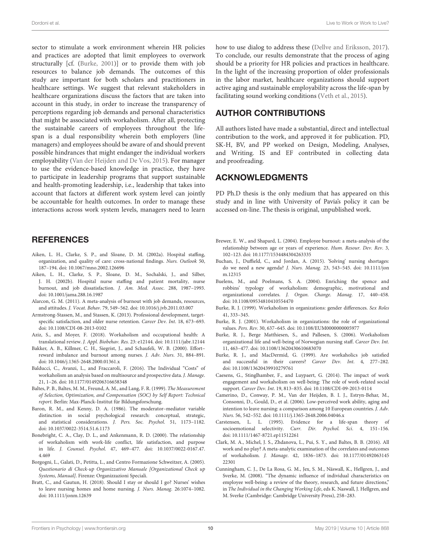Dordoni et al. Live to Work or Work to Live?

sector to stimulate a work environment wherein HR policies and practices are adopted that limit employees to overwork structurally [cf. [\(Burke, 2001\)](#page-9-14)] or to provide them with job resources to balance job demands. The outcomes of this study are important for both scholars and practitioners in healthcare settings. We suggest that relevant stakeholders in healthcare organizations discuss the factors that are taken into account in this study, in order to increase the transparency of perceptions regarding job demands and personal characteristics that might be associated with workaholism. After all, protecting the sustainable careers of employees throughout the lifespan is a dual responsibility wherein both employers (line managers) and employees should be aware of and should prevent possible hindrances that might endanger the individual workers employability [\(Van der Heijden and De Vos, 2015\)](#page-11-30). For manager to use the evidence-based knowledge in practice, they have to participate in leadership programs that support sustainable and health-promoting leadership, i.e., leadership that takes into account that factors at different work system level can jointly be accountable for health outcomes. In order to manage these interactions across work system levels, managers need to learn

# **REFERENCES**

- <span id="page-9-20"></span>Aiken, L. H., Clarke, S. P., and Sloane, D. M. (2002a). Hospital staffing, organization, and quality of care: cross-national findings. Nurs. Outlook 50, 187–194. doi: [10.1067/mno.2002.126696](https://doi.org/10.1067/mno.2002.126696)
- <span id="page-9-4"></span>Aiken, L. H., Clarke, S. P., Sloane, D. M., Sochalski, J., and Silber, J. H. (2002b). Hospital nurse staffing and patient mortality, nurse burnout, and job dissatisfaction. J. Am. Med. Assoc. 288, 1987–1993. doi: [10.1001/jama.288.16.1987](https://doi.org/10.1001/jama.288.16.1987)
- <span id="page-9-2"></span>Alarcon, G. M. (2011). A meta-analysis of burnout with job demands, resources, and attitudes. J. Vocat. Behav. 79, 549–562. doi: [10.1016/j.jvb.2011.03.007](https://doi.org/10.1016/j.jvb.2011.03.007)
- <span id="page-9-5"></span>Armstrong-Stassen, M., and Stassen, K. (2013). Professional development, targetspecific satisfaction, and older nurse retention. Career Dev. Int. 18, 673–693. doi: [10.1108/CDI-08-2013-0102](https://doi.org/10.1108/CDI-08-2013-0102)
- <span id="page-9-15"></span>Aziz, S., and Moyer, F. (2018). Workaholism and occupational health: A translational review. J. Appl. Biobehav. Res. 23: e12144. doi: [10.1111/jabr.12144](https://doi.org/10.1111/jabr.12144)
- <span id="page-9-3"></span>Bakker, A. B., Killmer, C. H., Siegrist, J., and Schaufeli, W. B. (2000). Effort– reward imbalance and burnout among nurses. J. Adv. Nurs. 31, 884–891. doi: [10.1046/j.1365-2648.2000.01361.x](https://doi.org/10.1046/j.1365-2648.2000.01361.x)
- <span id="page-9-11"></span>Balducci, C., Avanzi, L., and Fraccaroli, F. (2016). The Individual "Costs" of workaholism an analysis based on multisource and prospective data. J. Manage. 21, 1–26. doi: [10.1177/0149206316658348](https://doi.org/10.1177/0149206316658348)
- <span id="page-9-23"></span>Baltes, P. B., Baltes, M. M., Freund, A. M., and Lang, F. R. (1999). The Measurement of Selection, Optimization, and Compensation (SOC) by Self Report: Technical report. Berlin: Max-Planck-Institut für Bildungsforschung.
- <span id="page-9-21"></span>Baron, R. M., and Kenny, D. A. (1986). The moderator–mediator variable distinction in social psychological research: conceptual, strategic, and statistical considerations. J. Pers. Soc. Psychol. 51, 1173–1182. doi: [10.1037/0022-3514.51.6.1173](https://doi.org/10.1037/0022-3514.51.6.1173)
- <span id="page-9-17"></span>Bonebright, C. A., Clay, D. L., and Ankenmann, R. D. (2000). The relationship of workaholism with work-life conflict, life satisfaction, and purpose in life. J. Counsel. Psychol[. 47, 469–477. doi: 10.1037/0022-0167.47.](https://doi.org/10.1037/0022-0167.47.4.469) 4.469
- <span id="page-9-19"></span>Borgogni, L., Galati, D., Petitta, L., and Centro Formazione Schweitzer, A. (2005). Questionario di Check-up Organizzativo Manuale [Organizational Check up Systems, Manual]. Firenze: Organizzazioni Speciali.
- <span id="page-9-6"></span>Bratt, C., and Gautun, H. (2018). Should I stay or should I go? Nurses' wishes to leave nursing homes and home nursing. J. Nurs. Manag. 26:1074–1082. doi: [10.1111/jonm.12639](https://doi.org/10.1111/jonm.12639)

how to use dialog to address these [\(Dellve and Eriksson, 2017\)](#page-10-44). To conclude, our results demonstrate that the process of aging should be a priority for HR policies and practices in healthcare. In the light of the increasing proportion of older professionals in the labor market, healthcare organizations should support active aging and sustainable employability across the life-span by facilitating sound working conditions [\(Veth et al., 2015\)](#page-11-31).

# AUTHOR CONTRIBUTIONS

All authors listed have made a substantial, direct and intellectual contribution to the work, and approved it for publication. PD, SK-H, BV, and PP worked on Design, Modeling, Analyses, and Writing. IS and EF contributed in collecting data and proofreading.

### ACKNOWLEDGMENTS

PD Ph.D thesis is the only medium that has appeared on this study and in line with University of Pavia's policy it can be accessed on-line. The thesis is original, unpublished work.

- <span id="page-9-7"></span>Brewer, E. W., and Shapard, L. (2004). Employee burnout: a meta-analysis of the relationship between age or years of experience. Hum. Resour. Dev. Rev. 3, 102–123. doi: [10.1177/1534484304263335](https://doi.org/10.1177/1534484304263335)
- <span id="page-9-1"></span>Buchan, J., Duffield, C., and Jordan, A. (2015). 'Solving' nursing shortages: do we need a new agenda? J. Nurs. Manag[. 23, 543–545. doi: 10.1111/jon](https://doi.org/10.1111/jonm.12315) m.12315
- <span id="page-9-18"></span>Buelens, M., and Poelmans, S. A. (2004). Enriching the spence and robbins' typology of workaholism: demographic, motivational and organizational correlates. J. Organ. Change. Manag. 17, 440–458. doi: [10.1108/09534810410554470](https://doi.org/10.1108/09534810410554470)
- <span id="page-9-12"></span>Burke, R. J. (1999). Workaholism in organizations: gender differences. Sex Roles 41, 333–345.
- <span id="page-9-14"></span>Burke, R. J. (2001). Workaholism in organizations: the role of organizational values. Pers. Rev. 30, 637–645. doi: [10.1108/EUM0000000005977](https://doi.org/10.1108/EUM0000000005977)
- <span id="page-9-9"></span>Burke, R. J., Berge Matthiesen, S., and Pallesen, S. (2006). Workaholism organizational life and well-being of Norwegian nursing staff. Career Dev. Int. 11, 463–477. doi: [10.1108/13620430610683070](https://doi.org/10.1108/13620430610683070)
- <span id="page-9-8"></span>Burke, R. J., and MacDermid, G. (1999). Are workaholics job satisfied and successful in their careers? Career Dev. Int. 4, 277–282. doi: [10.1108/13620439910279761](https://doi.org/10.1108/13620439910279761)
- <span id="page-9-22"></span>Caesens, G., Stinglhamber, F., and Luypaert, G. (2014). The impact of work engagement and workaholism on well-being: The role of work-related social support. Career Dev. Int. 19, 813–835. doi: [10.1108/CDI-09-2013-0114](https://doi.org/10.1108/CDI-09-2013-0114)
- <span id="page-9-0"></span>Camerino, D., Conway, P. M., Van der Heijden, B. I. J., Estryn-Behar, M., Consonni, D., Gould, D., et al. (2006). Low-perceived work ability, aging and intention to leave nursing: a comparison among 10 European countries. J. Adv. Nurs. 56, 542–552. doi: [10.1111/j.1365-2648.2006.04046.x](https://doi.org/10.1111/j.1365-2648.2006.04046.x)
- <span id="page-9-16"></span>Carstensen, L. L. (1995). Evidence for a life-span theory of socioemotional selectivity. Curr. Dir. Psychol. Sci. 4, 151-156. doi: [10.1111/1467-8721.ep11512261](https://doi.org/10.1111/1467-8721.ep11512261)
- <span id="page-9-13"></span>Clark, M. A., Michel, J. S., Zhdanova, L., Pui, S. Y., and Baltes, B. B. (2016). All work and no play? A meta-analytic examination of the correlates and outcomes of workaholism. J. Manage[. 42, 1836–1873. doi: 10.1177/01492063145](https://doi.org/10.1177/0149206314522301) 22301
- <span id="page-9-10"></span>Cunningham, C. J., De La Rosa, G. M., Jex, S. M., Näswall, K., Hellgren, J., and Sverke, M. (2008). "The dynamic influence of individual characteristics on employee well-being: a review of the theory, research, and future directions," in The Individual in the Changing Working Life, eds K. Naswall, J. Hellgren, and M. Sverke (Cambridge: Cambridge University Press), 258–283.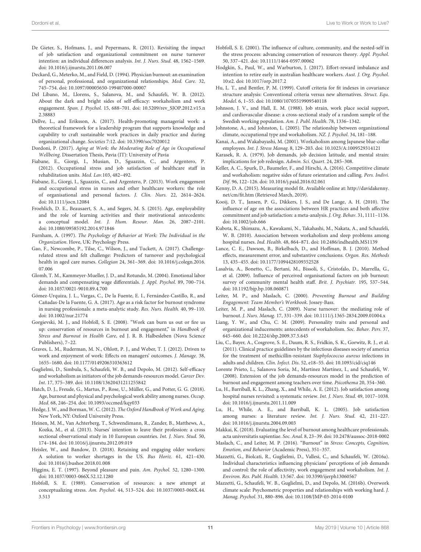- <span id="page-10-6"></span>De Gieter, S., Hofmans, J., and Pepermans, R. (2011). Revisiting the impact of job satisfaction and organizational commitment on nurse turnover intention: an individual differences analysis. Int. J. Nurs. Stud. 48, 1562–1569. doi: [10.1016/j.ijnurstu.2011.06.007](https://doi.org/10.1016/j.ijnurstu.2011.06.007)
- <span id="page-10-11"></span>Deckard, G., Meterko, M., and Field, D. (1994). Physician burnout: an examination of personal, professional, and organizational relationships. Med. Care. 32, 745–754. doi: [10.1097/00005650-199407000-00007](https://doi.org/10.1097/00005650-199407000-00007)
- <span id="page-10-35"></span>Del Líbano, M., Llorens, S., Salanova, M., and Schaufeli, W. B. (2012). About the dark and bright sides of self-efficacy: workaholism and work engagement. Span. J. Psychol. [15, 688–701. doi: 10.5209/rev\\_SJOP.2012.v15.n](https://doi.org/10.5209/rev_SJOP.2012.v15.n2.38883) 2.38883
- <span id="page-10-44"></span>Dellve, L., and Eriksson, A. (2017). Health-promoting managerial work: a theoretical framework for a leadership program that supports knowledge and capability to craft sustainable work practices in daily practice and during organizational change. Societies 7:12. doi: [10.3390/soc7020012](https://doi.org/10.3390/soc7020012)
- <span id="page-10-23"></span>Dordoni, P. (2017). Aging at Work: the Moderating Role of Age in Occupational Wellbeing. Dissertation Thesis, Pavia (IT): University of Pavia
- <span id="page-10-32"></span>Fiabane, E., Giorgi, I., Musian, D., Sguazzin, C., and Argentero, P. (2012). Occupational stress and job satisfaction of healthcare staff in rehabilitation units. Med. Lav.103, 482–492.
- <span id="page-10-31"></span>Fiabane, E., Giorgi, I., Sguazzin, C., and Argentero, P. (2013). Work engagement and occupational stress in nurses and other healthcare workers: the role of organisational and personal factors. J. Clin. Nurs. 22, 2614–2624. doi: [10.1111/jocn.12084](https://doi.org/10.1111/jocn.12084)
- <span id="page-10-27"></span>Froehlich, D. E., Beausaert, S. A., and Segers, M. S. (2015). Age, employability and the role of learning activities and their motivational antecedents: a conceptual model. Int. J. Hum. Resour. Man. 26, 2087–2101. doi: [10.1080/09585192.2014.971846](https://doi.org/10.1080/09585192.2014.971846)
- <span id="page-10-25"></span>Furnham, A. (1997). The Psychology of Behavior at Work: The Individual in the Organization. Hove, UK: Psychology Press.
- <span id="page-10-8"></span>Gao, F., Newcombe, P., Tilse, C., Wilson, J., and Tuckett, A. (2017). Challengerelated stress and felt challenge: Predictors of turnover and psychological health in aged care nurses. Collegian [24, 361–369. doi: 10.1016/j.colegn.2016.](https://doi.org/10.1016/j.colegn.2016.07.006) 07.006
- <span id="page-10-0"></span>Glomb, T. M., Kammeyer-Mueller, J. D., and Rotundo, M. (2004). Emotional labor demands and compensating wage differentials. J. Appl. Psychol. 89, 700–714. doi: [10.1037/0021-9010.89.4.700](https://doi.org/10.1037/0021-9010.89.4.700)
- <span id="page-10-12"></span>Gómez-Urquiza, J. L., Vargas, C., De la Fuente, E. I., Fernández-Castillo, R., and Cañadas-De la Fuente, G. A. (2017). Age as a risk factor for burnout syndrome in nursing professionals: a meta-analytic study. Res. Nurs. Health. 40, 99–110. doi: [10.1002/nur.21774](https://doi.org/10.1002/nur.21774)
- <span id="page-10-36"></span>Gorgievski, M. J., and Hobfoll, S. E. (2008). "Work can burn us out or fire us up: conservation of resources in burnout and engagement," in Handbook of Stress and Burnout in Health Care, ed J. R. B. Halbesleben (Nova Science Publishers), 7–22.
- <span id="page-10-19"></span>Graves, L. M., Ruderman, M. N., Ohlott, P. J., and Weber, T. J. (2012). Driven to work and enjoyment of work: Effects on managers' outcomes. J. Manage. 38, 1655–1680. doi: [10.1177/0149206310363612](https://doi.org/10.1177/0149206310363612)
- <span id="page-10-15"></span>Guglielmi, D., Simbula, S., Schaufeli, W. B., and Depolo, M. (2012). Self-efficacy and workaholism as initiators of the job demands-resources model. Career Dev. Int. 17, 375–389. doi: [10.1108/13620431211255842](https://doi.org/10.1108/13620431211255842)
- <span id="page-10-13"></span>Hatch, D. J., Freude, G., Martus, P., Rose, U., Müller, G., and Potter, G. G. (2018). Age, burnout and physical and psychological work ability among nurses. Occup. Med. 68, 246–254. doi: [10.1093/occmed/kqy033](https://doi.org/10.1093/occmed/kqy033)
- <span id="page-10-5"></span>Hedge, J. W., and Borman, W. C. (2012). The Oxford Handbook of Work and Aging. New York, NY: Oxford University Press.
- <span id="page-10-7"></span>Heinen, M. M., Van Achterberg, T., Schwendimann, R., Zander, B., Matthews, A., Kozka, M., et al. (2013). Nurses' intention to leave their profession: a cross sectional observational study in 10 European countries. Int. J. Nurs. Stud. 50, 174–184. doi: [10.1016/j.ijnurstu.2012.09.019](https://doi.org/10.1016/j.ijnurstu.2012.09.019)
- <span id="page-10-9"></span>Heisler, W., and Bandow, D. (2018). Retaining and engaging older workers: A solution to worker shortages in the US. Bus Horiz. 61, 421–430. doi: [10.1016/j.bushor.2018.01.008](https://doi.org/10.1016/j.bushor.2018.01.008)
- <span id="page-10-26"></span>Higgins, E. T. (1997). Beyond pleasure and pain. Am. Psychol. 52, 1280–1300. doi: [10.1037/0003-066X.52.12.1280](https://doi.org/10.1037/0003-066X.52.12.1280)
- <span id="page-10-22"></span>Hobfoll, S. E. (1989). Conservation of resources: a new attempt at conceptualizing stress. Am. Psychol[. 44, 513–524. doi: 10.1037/0003-066X.44.](https://doi.org/10.1037/0003-066X.44.3.513) 3.513
- <span id="page-10-24"></span>Hobfoll, S. E. (2001). The influence of culture, community, and the nested-self in the stress process: advancing conservation of resources theory. Appl. Psychol. 50, 337–421. doi: [10.1111/1464-0597.00062](https://doi.org/10.1111/1464-0597.00062)
- <span id="page-10-1"></span>Hodgkin, S., Paul, W., and Warburton, J. (2017). Effort-reward imbalance and intention to retire early in australian healthcare workers. Aust. J. Org. Psychol. 10:e2. doi: [10.1017/orp.2017.2](https://doi.org/10.1017/orp.2017.2)
- <span id="page-10-33"></span>Hu, L. T., and Bentler, P. M. (1999). Cutoff criteria for fit indexes in covariance structure analysis: Conventional criteria versus new alternatives. Struct. Equ. Model. 6, 1–55. doi: [10.1080/10705519909540118](https://doi.org/10.1080/10705519909540118)
- <span id="page-10-3"></span>Johnson, J. V., and Hall, E. M. (1988). Job strain, work place social support, and cardiovascular disease: a cross-sectional study of a random sample of the Swedish working population. Am. J. Publ. Health. 78, 1336–1342.
- <span id="page-10-40"></span>Johnstone, A., and Johnston, L. (2005). The relationship between organizational climate, occupational type and workaholism. NZ. J. Psychol. 34, 181–188.
- <span id="page-10-18"></span>Kanai, A., and Wakabayashi, M. (2001). Workaholism among Japanese blue-collar employees. Int. J. Stress Manag. 8, 129–203. doi: [10.1023/A:1009529314121](https://doi.org/10.1023/A:1009529314121)
- <span id="page-10-2"></span>Karasek, R. A. (1979). Job demands, job decision latitude, and mental strain: implications for job redesign. Admin. Sci. Quart. 24, 285–308.
- <span id="page-10-42"></span>Keller, A. C., Spurk, D., Baumeler, F., and Hirschi, A. (2016). Competitive climate and workaholism: negative sides of future orientation and calling. Pers. Indivi. Dif. 96, 122–126. doi: [10.1016/j.paid.2016.02.061](https://doi.org/10.1016/j.paid.2016.02.061)
- <span id="page-10-34"></span>Kenny, D. A. (2015). Measuring model fit. Available online at: [http://davidakenny.](http://davidakenny.net/cm/fit.htm) [net/cm/fit.htm](http://davidakenny.net/cm/fit.htm) (Retrieved March, 2019).
- <span id="page-10-43"></span>Kooij, D. T., Jansen, P. G., Dikkers, J. S., and De Lange, A. H. (2010). The influence of age on the associations between HR practices and both affective commitment and job satisfaction: a meta-analysis. J. Org. Behav. 31, 1111–1136. doi: [10.1002/job.666](https://doi.org/10.1002/job.666)
- <span id="page-10-16"></span>Kubota, K., Shimazu, A., Kawakami, N., Takahashi, M., Nakata, A., and Schaufeli, W. B. (2010). Association between workaholism and sleep problems among hospital nurses. Ind. Health. 48, 864–871. doi: [10.2486/indhealth.MS1139](https://doi.org/10.2486/indhealth.MS1139)
- <span id="page-10-38"></span>Lance, C. E., Dawson, B., Birkelbach, D., and Hoffman, B. J. (2010). Method effects, measurement error, and substantive conclusions. Organ. Res. Methods 13, 435–455. doi: [10.1177/1094428109352528](https://doi.org/10.1177/1094428109352528)
- <span id="page-10-30"></span>Lasalvia, A., Bonetto, C., Bertani, M., Bissoli, S., Cristofalo, D., Marrella, G., et al. (2009). Influence of perceived organisational factors on job burnout: survey of community mental health staff. Brit. J. Psychiatr. 195, 537–544. doi: [10.1192/bjp.bp.108.060871](https://doi.org/10.1192/bjp.bp.108.060871)
- <span id="page-10-28"></span>Leiter, M. P., and Maslach, C. (2000). Preventing Burnout and Building Engagement: Team Member's Workbook. Jossey-Bass.
- <span id="page-10-29"></span>Leiter, M. P., and Maslach, C. (2009). Nurse turnover: the mediating role of burnout. J. Nurs. Manag. 17, 331–339. doi: [10.1111/j.1365-2834.2009.01004.x](https://doi.org/10.1111/j.1365-2834.2009.01004.x)
- <span id="page-10-41"></span>Liang, Y. W., and Chu, C. M. (2009). Personality traits and personal and organizational inducements: antecedents of workaholism. Soc. Behav. Pers. 37, 645–660. doi: [10.2224/sbp.2009.37.5.645](https://doi.org/10.2224/sbp.2009.37.5.645)
- <span id="page-10-21"></span>Liu, C., Bayer, A., Cosgrove, S. E., Daum, R. S., Fridkin, S. K., Gorwitz, R. J., et al. (2011). Clinical practice guidelines by the infectious diseases society of america for the treatment of methicillin-resistant Staphylococcus aureus infections in adults and children. Clin. Infect. Dis. 52, e18–55. doi: [10.1093/cid/ciq146](https://doi.org/10.1093/cid/ciq146)
- <span id="page-10-37"></span>Lorente Prieto, L., Salanova Soria, M., Martínez Martínez, I., and Schaufeli, W. (2008). Extension of the job demands-resources model in the prediction of burnout and engagement among teachers over time. Psicothema 20, 354–360.
- <span id="page-10-20"></span>Lu, H., Barriball, K. L., Zhang, X., and While, A. E. (2012). Job satisfaction among hospital nurses revisited: a systematic review. Int. J. Nurs. Stud. 49, 1017–1038. doi: [10.1016/j.ijnurstu.2011.11.009](https://doi.org/10.1016/j.ijnurstu.2011.11.009)
- <span id="page-10-10"></span>Lu, H., While, A. E., and Barriball, K. L. (2005). Job satisfaction among nurses: a literature review. Int. J. Nurs. Stud. 42, 211–227. doi: [10.1016/j.ijnurstu.2004.09.003](https://doi.org/10.1016/j.ijnurstu.2004.09.003)
- <span id="page-10-4"></span>Makkai, K. (2018). Evaluating the level of burnout among healthcare professionals. acta universitatis sapientiae. Soc. Anal. 8, 23–39. doi: [10.2478/aussoc-2018-0002](https://doi.org/10.2478/aussoc-2018-0002)
- <span id="page-10-14"></span>Maslach, C., and Leiter, M. P. (2016). "Burnout" in Stress: Concepts, Cognition, Emotion, and Behavior (Academic Press), 351–357.
- <span id="page-10-17"></span>Mazzetti, G., Biolcati, R., Guglielmi, D., Vallesi, C., and Schaufeli, W. (2016a). Individual characteristics influencing physicians' perceptions of job demands and control: the role of affectivity, work engagement and workaholism. Int. J. Environ. Res. Publ. Health. 13:567. doi: [10.3390/ijerph13060567](https://doi.org/10.3390/ijerph13060567)
- <span id="page-10-39"></span>Mazzetti, G., Schaufeli, W. B., Guglielmi, D., and Depolo, M. (2016b). Overwork climate scale: Psychometric properties and relationships with working hard. J. Manag. Psychol. 31, 880–896. doi: [10.1108/JMP-03-2014-0100](https://doi.org/10.1108/JMP-03-2014-0100~)